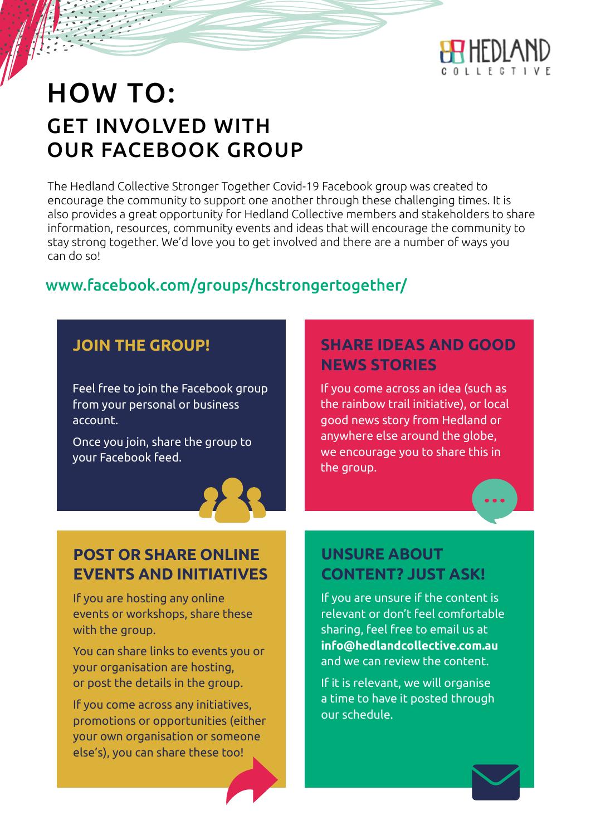

# HOW TO: GET INVOLVED WITH OUR FACEBOOK GROUP

The Hedland Collective Stronger Together Covid-19 Facebook group was created to encourage the community to support one another through these challenging times. It is also provides a great opportunity for Hedland Collective members and stakeholders to share information, resources, community events and ideas that will encourage the community to stay strong together. We'd love you to get involved and there are a number of ways you can do so!

# www.facebook.com/groups/hcstrongertogether/

## **JOIN THE GROUP!**

Feel free to join the Facebook group from your personal or business account.

Once you join, share the group to your Facebook feed.



# **SHARE IDEAS AND GOOD NEWS STORIES**

If you come across an idea (such as the rainbow trail initiative), or local good news story from Hedland or anywhere else around the globe, we encourage you to share this in the group.

### **POST OR SHARE ONLINE EVENTS AND INITIATIVES**

If you are hosting any online events or workshops, share these with the group.

You can share links to events you or your organisation are hosting, or post the details in the group.

If you come across any initiatives, promotions or opportunities (either your own organisation or someone else's), you can share these too!

## **UNSURE ABOUT CONTENT? JUST ASK!**

If you are unsure if the content is relevant or don't feel comfortable sharing, feel free to email us at **info@hedlandcollective.com.au**  and we can review the content.

If it is relevant, we will organise a time to have it posted through our schedule.